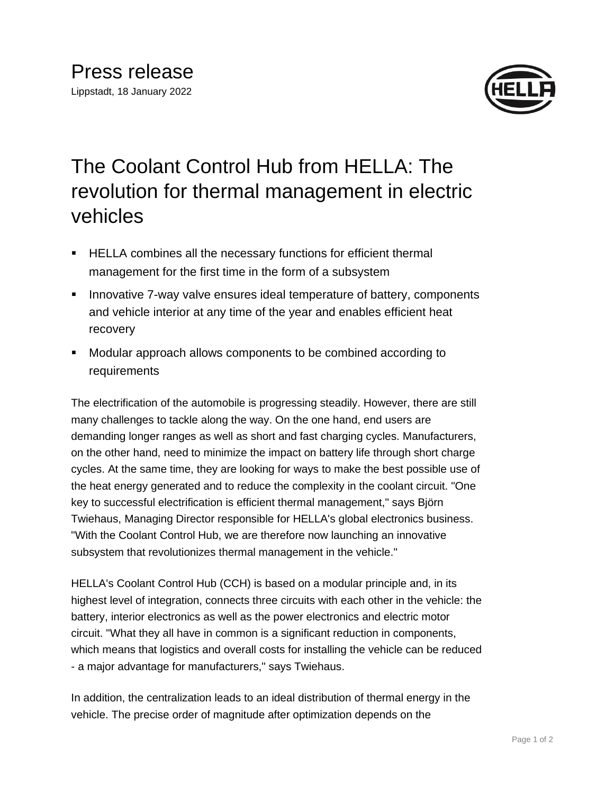

## The Coolant Control Hub from HELLA: The revolution for thermal management in electric vehicles

- HELLA combines all the necessary functions for efficient thermal management for the first time in the form of a subsystem
- **E** Innovative 7-way valve ensures ideal temperature of battery, components and vehicle interior at any time of the year and enables efficient heat recovery
- Modular approach allows components to be combined according to requirements

The electrification of the automobile is progressing steadily. However, there are still many challenges to tackle along the way. On the one hand, end users are demanding longer ranges as well as short and fast charging cycles. Manufacturers, on the other hand, need to minimize the impact on battery life through short charge cycles. At the same time, they are looking for ways to make the best possible use of the heat energy generated and to reduce the complexity in the coolant circuit. "One key to successful electrification is efficient thermal management," says Björn Twiehaus, Managing Director responsible for HELLA's global electronics business. "With the Coolant Control Hub, we are therefore now launching an innovative subsystem that revolutionizes thermal management in the vehicle."

HELLA's Coolant Control Hub (CCH) is based on a modular principle and, in its highest level of integration, connects three circuits with each other in the vehicle: the battery, interior electronics as well as the power electronics and electric motor circuit. "What they all have in common is a significant reduction in components, which means that logistics and overall costs for installing the vehicle can be reduced - a major advantage for manufacturers," says Twiehaus.

In addition, the centralization leads to an ideal distribution of thermal energy in the vehicle. The precise order of magnitude after optimization depends on the